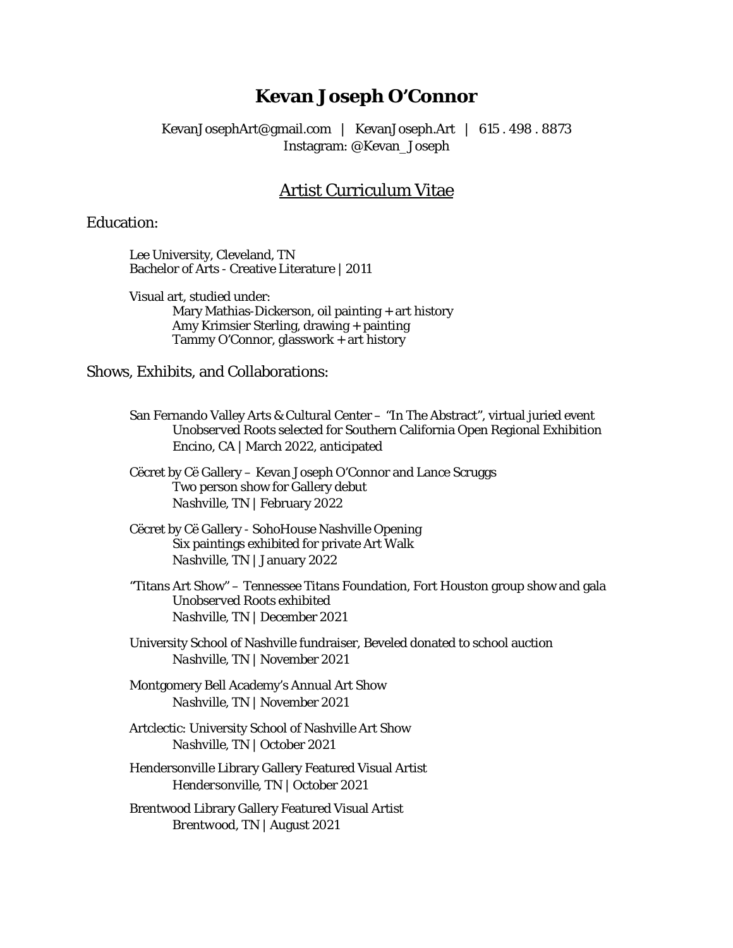# **Kevan Joseph O'Connor**

KevanJosephArt@gmail.com | KevanJoseph.Art | 615 . 498 . 8873 Instagram: @Kevan\_Joseph

## Artist Curriculum Vitae

### Education:

Lee University, Cleveland, TN Bachelor of Arts - Creative Literature | 2011

Visual art, studied under: Mary Mathias-Dickerson, oil painting + art history Amy Krimsier Sterling, drawing + painting Tammy O'Connor, glasswork + art history

Shows, Exhibits, and Collaborations:

- San Fernando Valley Arts & Cultural Center "In The Abstract", virtual juried event *Unobserved Roots* selected for Southern California Open Regional Exhibition *Encino, CA* | March 2022, anticipated
- Cëcret by Cë Gallery Kevan Joseph O'Connor and Lance Scruggs Two person show for Gallery debut *Nashville, TN* | February 2022
- Cëcret by Cë Gallery SohoHouse Nashville Opening Six paintings exhibited for private Art Walk *Nashville, TN* | January 2022
- "Titans Art Show" Tennessee Titans Foundation, Fort Houston group show and gala *Unobserved Roots* exhibited *Nashville, TN* | December 2021
- University School of Nashville fundraiser, *Beveled* donated to school auction *Nashville, TN* | November 2021
- Montgomery Bell Academy's Annual Art Show *Nashville, TN* | November 2021
- Artclectic: University School of Nashville Art Show *Nashville, TN* | October 2021
- Hendersonville Library Gallery Featured Visual Artist *Hendersonville, TN* | October 2021
- Brentwood Library Gallery Featured Visual Artist *Brentwood, TN* | August 2021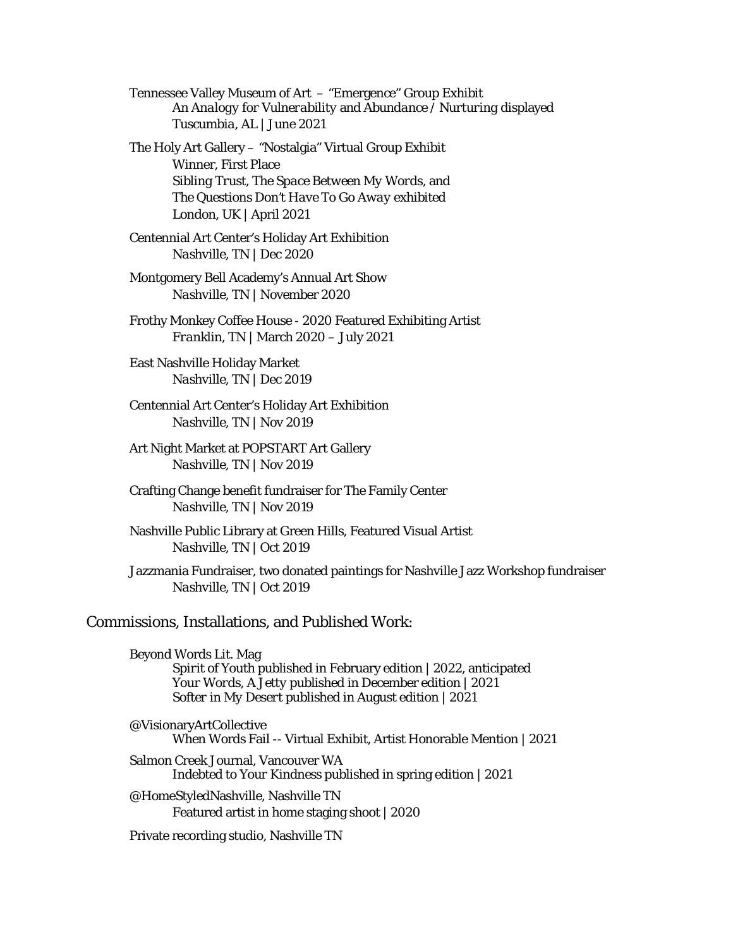Tennessee Valley Museum of Art – "Emergence" Group Exhibit *An Analogy for Vulnerability* and *Abundance / Nurturing* displayed *Tuscumbia, AL* | June 2021

The Holy Art Gallery – "Nostalgia" Virtual Group Exhibit Winner, First Place *Sibling Trust*, *The Space Between My Words*, and *The Questions Don't Have To Go Away* exhibited *London, UK* | April 2021

Centennial Art Center's Holiday Art Exhibition *Nashville, TN* | Dec 2020

Montgomery Bell Academy's Annual Art Show *Nashville, TN* | November 2020

Frothy Monkey Coffee House - 2020 Featured Exhibiting Artist *Franklin, TN* | March 2020 – July 2021

East Nashville Holiday Market *Nashville, TN* | Dec 2019

Centennial Art Center's Holiday Art Exhibition *Nashville, TN* | Nov 2019

Art Night Market at POPSTART Art Gallery *Nashville, TN* | Nov 2019

Crafting Change benefit fundraiser for The Family Center *Nashville, TN* | Nov 2019

Nashville Public Library at Green Hills, Featured Visual Artist *Nashville, TN* | Oct 2019

Jazzmania Fundraiser, two donated paintings for Nashville Jazz Workshop fundraiser *Nashville, TN* | Oct 2019

#### Commissions, Installations, and Published Work:

Beyond Words Lit. Mag *Spirit of Youth* published in February edition | 2022, anticipated *Your Words, A Jetty* published in December edition | 2021 *Softer in My Desert* published in August edition | 2021

@VisionaryArtCollective When Words Fail -- Virtual Exhibit, Artist Honorable Mention | 2021 Salmon Creek Journal, Vancouver WA

*Indebted to Your Kindness* published in spring edition | 2021

@HomeStyledNashville, Nashville TN Featured artist in home staging shoot | 2020

Private recording studio, Nashville TN